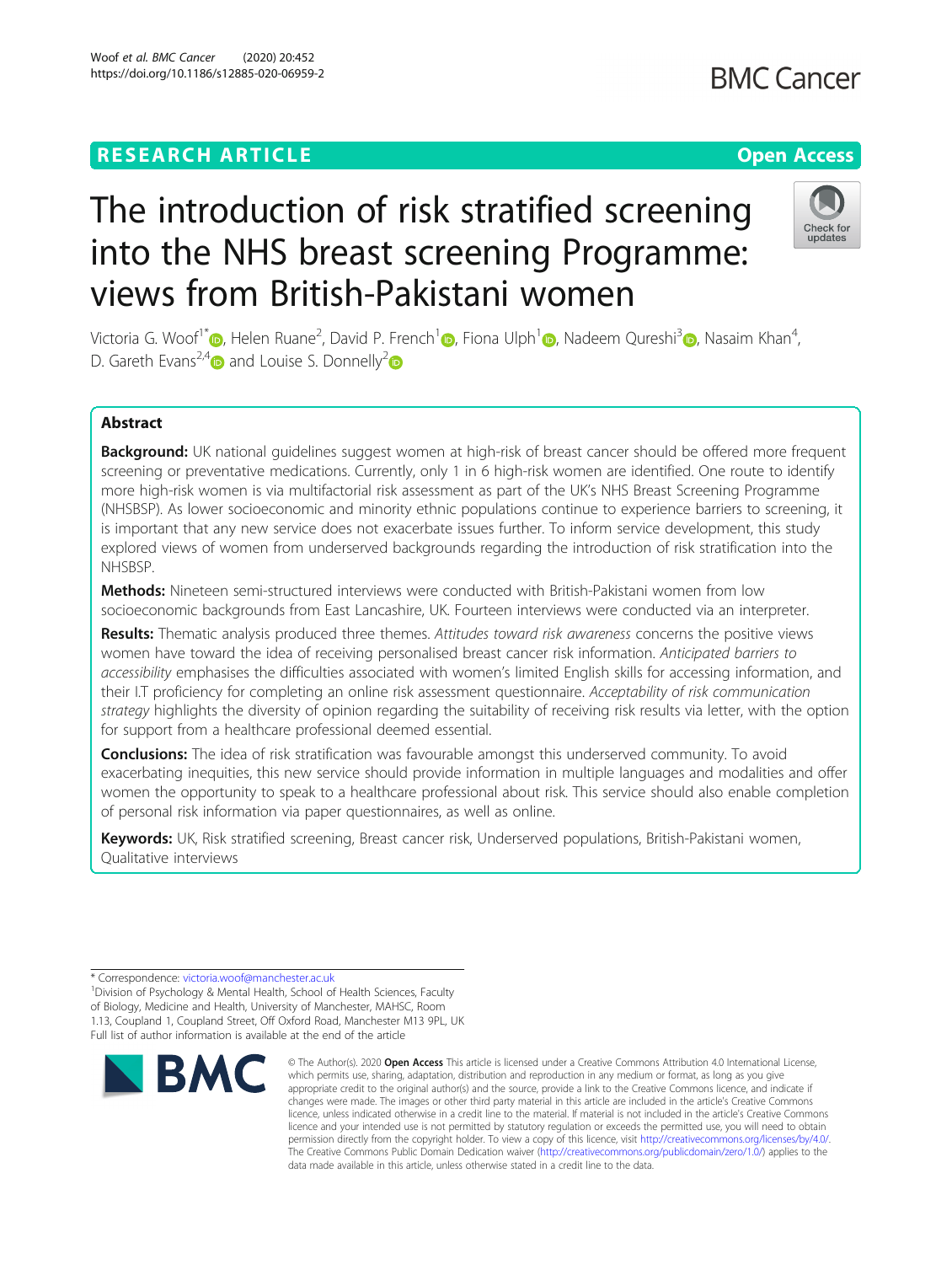# **RESEARCH ARTICLE Example 2014 12:30 The Contract of Contract ACCESS**

# The introduction of risk stratified screening into the NHS breast screening Programme: views from British-Pakistani women

Victoria G. Woof<sup>1\*</sup> [,](https://orcid.org/0000-0002-7663-7804) Helen Ruane<sup>2</sup>, David P. French<sup>[1](https://orcid.org/0000-0003-3590-6542)</sup> , Fiona Ulph<sup>1</sup> , Nadeem Qureshi<sup>[3](https://orcid.org/0000-0003-4909-0644)</sup> , Nasaim Khan<sup>4</sup> , D. Gareth Evans<sup>[2](https://orcid.org/0000-0002-6570-7272),4</sup> and Louise S. Donnelly<sup>2</sup>

## Abstract

Background: UK national guidelines suggest women at high-risk of breast cancer should be offered more frequent screening or preventative medications. Currently, only 1 in 6 high-risk women are identified. One route to identify more high-risk women is via multifactorial risk assessment as part of the UK's NHS Breast Screening Programme (NHSBSP). As lower socioeconomic and minority ethnic populations continue to experience barriers to screening, it is important that any new service does not exacerbate issues further. To inform service development, this study explored views of women from underserved backgrounds regarding the introduction of risk stratification into the NHSBSP.

Methods: Nineteen semi-structured interviews were conducted with British-Pakistani women from low socioeconomic backgrounds from East Lancashire, UK. Fourteen interviews were conducted via an interpreter.

Results: Thematic analysis produced three themes. Attitudes toward risk awareness concerns the positive views women have toward the idea of receiving personalised breast cancer risk information. Anticipated barriers to accessibility emphasises the difficulties associated with women's limited English skills for accessing information, and their I.T proficiency for completing an online risk assessment questionnaire. Acceptability of risk communication strategy highlights the diversity of opinion regarding the suitability of receiving risk results via letter, with the option for support from a healthcare professional deemed essential.

**Conclusions:** The idea of risk stratification was favourable amongst this underserved community. To avoid exacerbating inequities, this new service should provide information in multiple languages and modalities and offer women the opportunity to speak to a healthcare professional about risk. This service should also enable completion of personal risk information via paper questionnaires, as well as online.

Keywords: UK, Risk stratified screening, Breast cancer risk, Underserved populations, British-Pakistani women, Qualitative interviews

**BMC** 

\* Correspondence: [victoria.woof@manchester.ac.uk](mailto:victoria.woof@manchester.ac.uk) <sup>1</sup> Division of Psychology & Mental Health, School of Health Sciences, Faculty of Biology, Medicine and Health, University of Manchester, MAHSC, Room 1.13, Coupland 1, Coupland Street, Off Oxford Road, Manchester M13 9PL, UK Full list of author information is available at the end of the article





<sup>©</sup> The Author(s), 2020 **Open Access** This article is licensed under a Creative Commons Attribution 4.0 International License, which permits use, sharing, adaptation, distribution and reproduction in any medium or format, as long as you give appropriate credit to the original author(s) and the source, provide a link to the Creative Commons licence, and indicate if changes were made. The images or other third party material in this article are included in the article's Creative Commons licence, unless indicated otherwise in a credit line to the material. If material is not included in the article's Creative Commons licence and your intended use is not permitted by statutory regulation or exceeds the permitted use, you will need to obtain permission directly from the copyright holder. To view a copy of this licence, visit [http://creativecommons.org/licenses/by/4.0/.](http://creativecommons.org/licenses/by/4.0/) The Creative Commons Public Domain Dedication waiver [\(http://creativecommons.org/publicdomain/zero/1.0/](http://creativecommons.org/publicdomain/zero/1.0/)) applies to the data made available in this article, unless otherwise stated in a credit line to the data.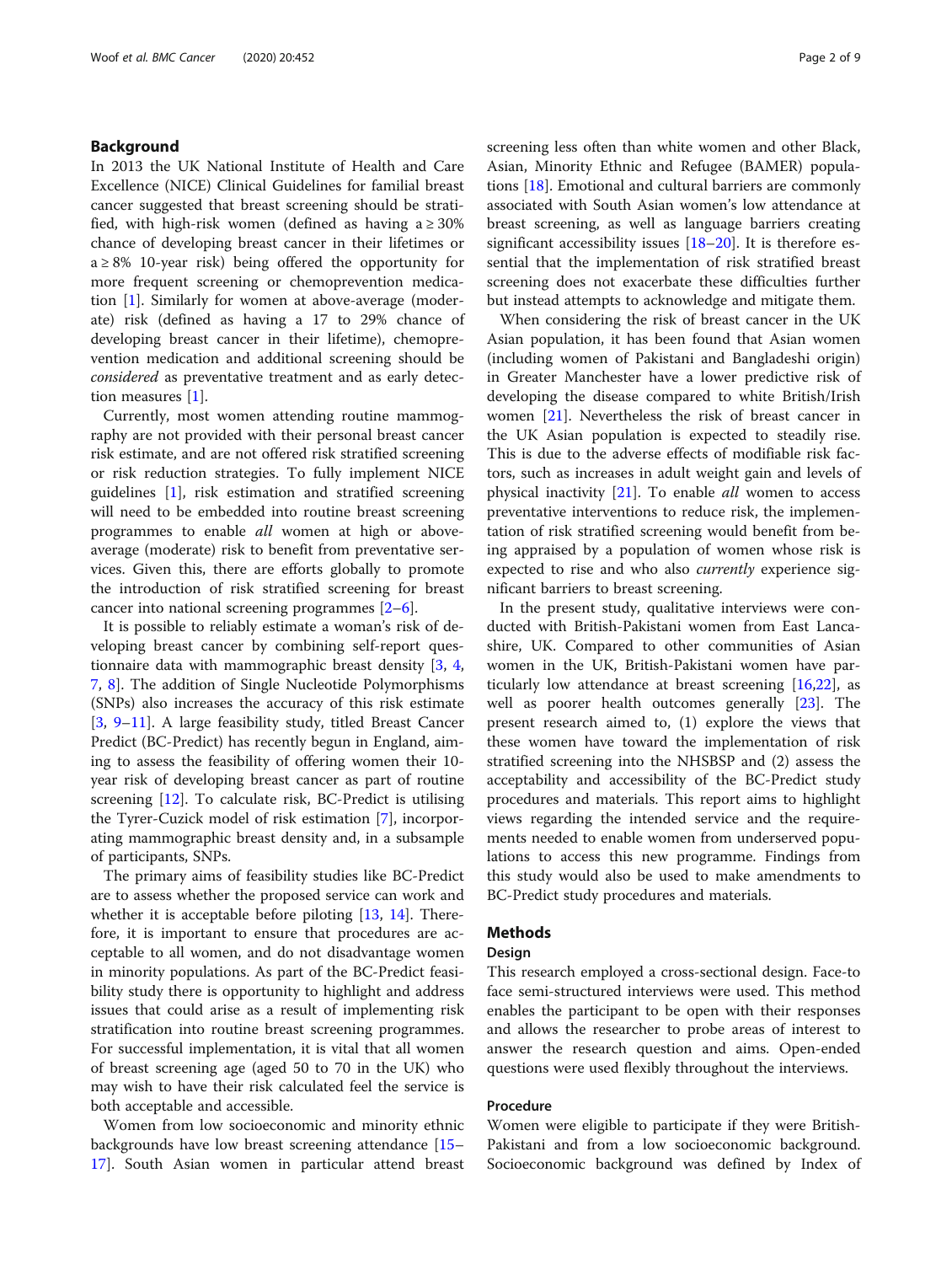#### Background

In 2013 the UK National Institute of Health and Care Excellence (NICE) Clinical Guidelines for familial breast cancer suggested that breast screening should be stratified, with high-risk women (defined as having  $a \ge 30\%$ chance of developing breast cancer in their lifetimes or  $a \geq 8\%$  10-year risk) being offered the opportunity for more frequent screening or chemoprevention medication [\[1](#page-7-0)]. Similarly for women at above-average (moderate) risk (defined as having a 17 to 29% chance of developing breast cancer in their lifetime), chemoprevention medication and additional screening should be considered as preventative treatment and as early detection measures [[1\]](#page-7-0).

Currently, most women attending routine mammography are not provided with their personal breast cancer risk estimate, and are not offered risk stratified screening or risk reduction strategies. To fully implement NICE guidelines [\[1](#page-7-0)], risk estimation and stratified screening will need to be embedded into routine breast screening programmes to enable all women at high or aboveaverage (moderate) risk to benefit from preventative services. Given this, there are efforts globally to promote the introduction of risk stratified screening for breast cancer into national screening programmes [[2](#page-7-0)–[6](#page-7-0)].

It is possible to reliably estimate a woman's risk of developing breast cancer by combining self-report questionnaire data with mammographic breast density [[3,](#page-7-0) [4](#page-7-0), [7,](#page-7-0) [8](#page-7-0)]. The addition of Single Nucleotide Polymorphisms (SNPs) also increases the accuracy of this risk estimate [[3,](#page-7-0) [9](#page-7-0)–[11\]](#page-7-0). A large feasibility study, titled Breast Cancer Predict (BC-Predict) has recently begun in England, aiming to assess the feasibility of offering women their 10 year risk of developing breast cancer as part of routine screening [[12\]](#page-7-0). To calculate risk, BC-Predict is utilising the Tyrer-Cuzick model of risk estimation [\[7](#page-7-0)], incorporating mammographic breast density and, in a subsample of participants, SNPs.

The primary aims of feasibility studies like BC-Predict are to assess whether the proposed service can work and whether it is acceptable before piloting [[13,](#page-7-0) [14](#page-7-0)]. Therefore, it is important to ensure that procedures are acceptable to all women, and do not disadvantage women in minority populations. As part of the BC-Predict feasibility study there is opportunity to highlight and address issues that could arise as a result of implementing risk stratification into routine breast screening programmes. For successful implementation, it is vital that all women of breast screening age (aged 50 to 70 in the UK) who may wish to have their risk calculated feel the service is both acceptable and accessible.

Women from low socioeconomic and minority ethnic backgrounds have low breast screening attendance [[15](#page-7-0)– [17\]](#page-7-0). South Asian women in particular attend breast screening less often than white women and other Black, Asian, Minority Ethnic and Refugee (BAMER) populations [[18\]](#page-7-0). Emotional and cultural barriers are commonly associated with South Asian women's low attendance at breast screening, as well as language barriers creating significant accessibility issues [[18](#page-7-0)–[20\]](#page-7-0). It is therefore essential that the implementation of risk stratified breast screening does not exacerbate these difficulties further but instead attempts to acknowledge and mitigate them.

When considering the risk of breast cancer in the UK Asian population, it has been found that Asian women (including women of Pakistani and Bangladeshi origin) in Greater Manchester have a lower predictive risk of developing the disease compared to white British/Irish women [[21\]](#page-7-0). Nevertheless the risk of breast cancer in the UK Asian population is expected to steadily rise. This is due to the adverse effects of modifiable risk factors, such as increases in adult weight gain and levels of physical inactivity  $[21]$ . To enable *all* women to access preventative interventions to reduce risk, the implementation of risk stratified screening would benefit from being appraised by a population of women whose risk is expected to rise and who also currently experience significant barriers to breast screening.

In the present study, qualitative interviews were conducted with British-Pakistani women from East Lancashire, UK. Compared to other communities of Asian women in the UK, British-Pakistani women have particularly low attendance at breast screening  $[16,22]$  $[16,22]$  $[16,22]$  $[16,22]$  $[16,22]$ , as well as poorer health outcomes generally [[23](#page-8-0)]. The present research aimed to, (1) explore the views that these women have toward the implementation of risk stratified screening into the NHSBSP and (2) assess the acceptability and accessibility of the BC-Predict study procedures and materials. This report aims to highlight views regarding the intended service and the requirements needed to enable women from underserved populations to access this new programme. Findings from this study would also be used to make amendments to BC-Predict study procedures and materials.

#### Methods

#### Design

This research employed a cross-sectional design. Face-to face semi-structured interviews were used. This method enables the participant to be open with their responses and allows the researcher to probe areas of interest to answer the research question and aims. Open-ended questions were used flexibly throughout the interviews.

#### Procedure

Women were eligible to participate if they were British-Pakistani and from a low socioeconomic background. Socioeconomic background was defined by Index of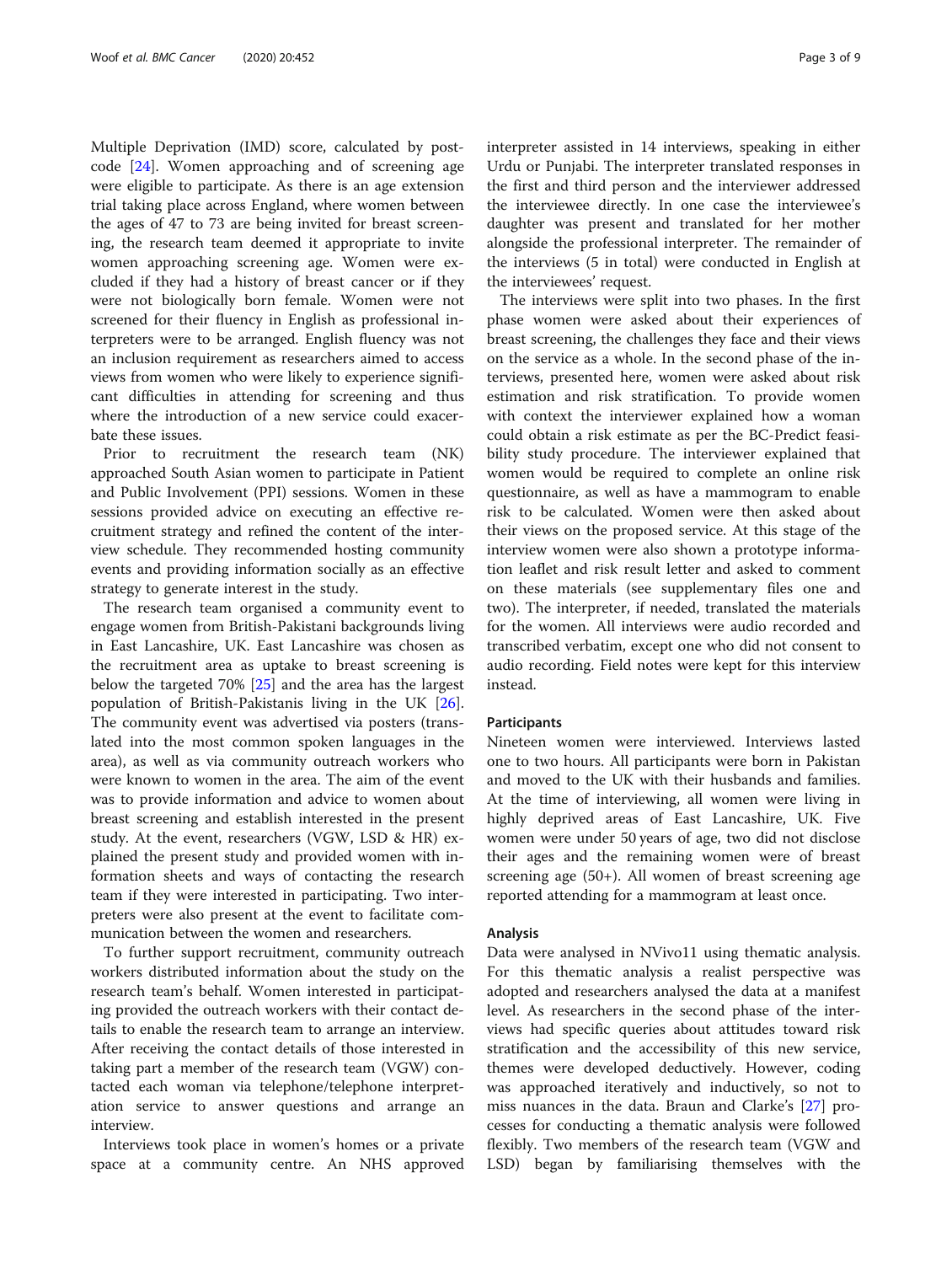Multiple Deprivation (IMD) score, calculated by postcode [\[24](#page-8-0)]. Women approaching and of screening age were eligible to participate. As there is an age extension trial taking place across England, where women between the ages of 47 to 73 are being invited for breast screening, the research team deemed it appropriate to invite women approaching screening age. Women were excluded if they had a history of breast cancer or if they were not biologically born female. Women were not screened for their fluency in English as professional interpreters were to be arranged. English fluency was not an inclusion requirement as researchers aimed to access views from women who were likely to experience significant difficulties in attending for screening and thus where the introduction of a new service could exacerbate these issues.

Prior to recruitment the research team (NK) approached South Asian women to participate in Patient and Public Involvement (PPI) sessions. Women in these sessions provided advice on executing an effective recruitment strategy and refined the content of the interview schedule. They recommended hosting community events and providing information socially as an effective strategy to generate interest in the study.

The research team organised a community event to engage women from British-Pakistani backgrounds living in East Lancashire, UK. East Lancashire was chosen as the recruitment area as uptake to breast screening is below the targeted 70% [[25\]](#page-8-0) and the area has the largest population of British-Pakistanis living in the UK [\[26](#page-8-0)]. The community event was advertised via posters (translated into the most common spoken languages in the area), as well as via community outreach workers who were known to women in the area. The aim of the event was to provide information and advice to women about breast screening and establish interested in the present study. At the event, researchers (VGW, LSD & HR) explained the present study and provided women with information sheets and ways of contacting the research team if they were interested in participating. Two interpreters were also present at the event to facilitate communication between the women and researchers.

To further support recruitment, community outreach workers distributed information about the study on the research team's behalf. Women interested in participating provided the outreach workers with their contact details to enable the research team to arrange an interview. After receiving the contact details of those interested in taking part a member of the research team (VGW) contacted each woman via telephone/telephone interpretation service to answer questions and arrange an interview.

Interviews took place in women's homes or a private space at a community centre. An NHS approved interpreter assisted in 14 interviews, speaking in either Urdu or Punjabi. The interpreter translated responses in the first and third person and the interviewer addressed the interviewee directly. In one case the interviewee's daughter was present and translated for her mother alongside the professional interpreter. The remainder of the interviews (5 in total) were conducted in English at the interviewees' request.

The interviews were split into two phases. In the first phase women were asked about their experiences of breast screening, the challenges they face and their views on the service as a whole. In the second phase of the interviews, presented here, women were asked about risk estimation and risk stratification. To provide women with context the interviewer explained how a woman could obtain a risk estimate as per the BC-Predict feasibility study procedure. The interviewer explained that women would be required to complete an online risk questionnaire, as well as have a mammogram to enable risk to be calculated. Women were then asked about their views on the proposed service. At this stage of the interview women were also shown a prototype information leaflet and risk result letter and asked to comment on these materials (see supplementary files one and two). The interpreter, if needed, translated the materials for the women. All interviews were audio recorded and transcribed verbatim, except one who did not consent to audio recording. Field notes were kept for this interview instead.

#### Participants

Nineteen women were interviewed. Interviews lasted one to two hours. All participants were born in Pakistan and moved to the UK with their husbands and families. At the time of interviewing, all women were living in highly deprived areas of East Lancashire, UK. Five women were under 50 years of age, two did not disclose their ages and the remaining women were of breast screening age (50+). All women of breast screening age reported attending for a mammogram at least once.

#### Analysis

Data were analysed in NVivo11 using thematic analysis. For this thematic analysis a realist perspective was adopted and researchers analysed the data at a manifest level. As researchers in the second phase of the interviews had specific queries about attitudes toward risk stratification and the accessibility of this new service, themes were developed deductively. However, coding was approached iteratively and inductively, so not to miss nuances in the data. Braun and Clarke's [[27\]](#page-8-0) processes for conducting a thematic analysis were followed flexibly. Two members of the research team (VGW and LSD) began by familiarising themselves with the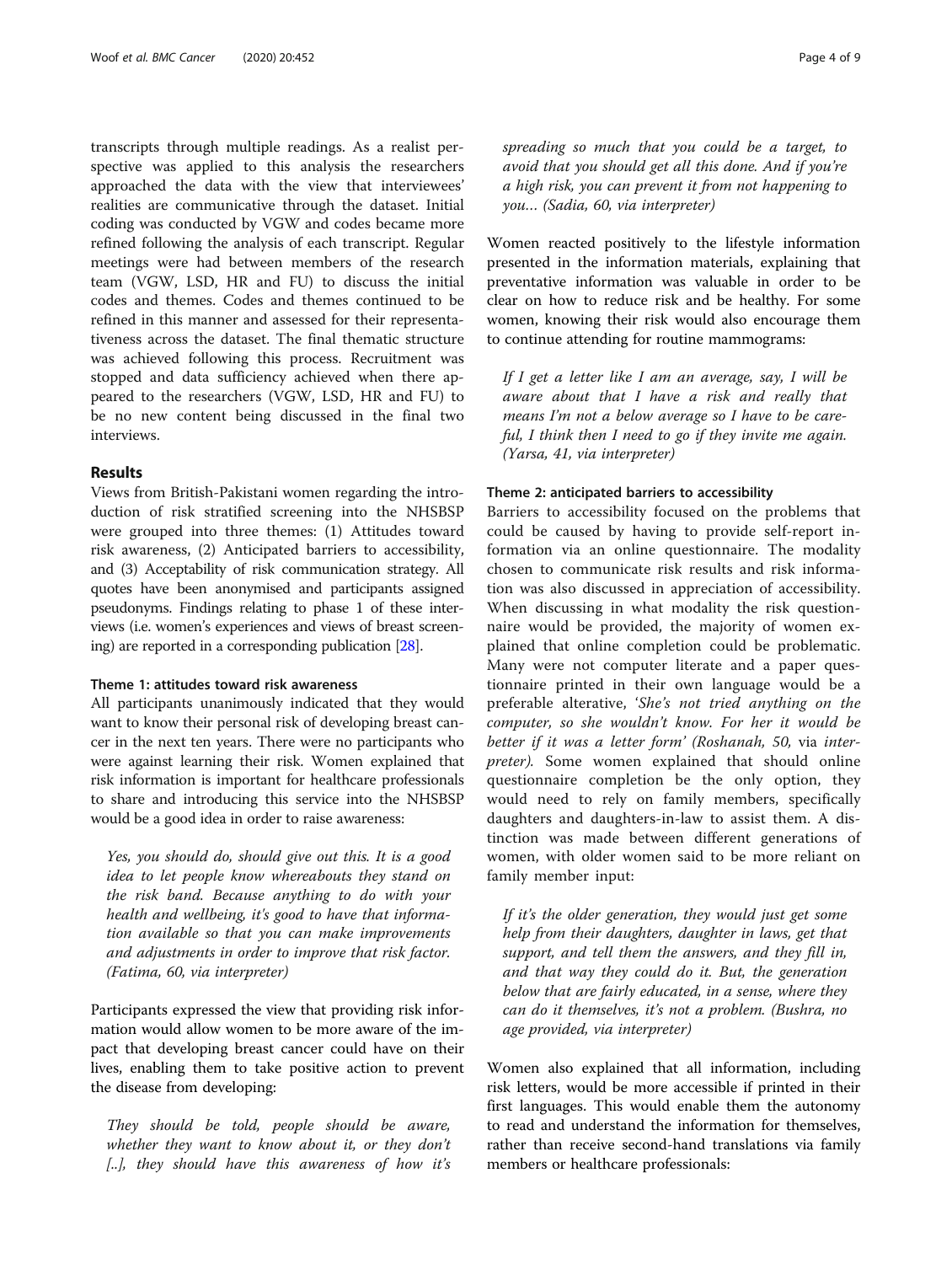transcripts through multiple readings. As a realist perspective was applied to this analysis the researchers approached the data with the view that interviewees' realities are communicative through the dataset. Initial coding was conducted by VGW and codes became more refined following the analysis of each transcript. Regular meetings were had between members of the research team (VGW, LSD, HR and FU) to discuss the initial codes and themes. Codes and themes continued to be refined in this manner and assessed for their representativeness across the dataset. The final thematic structure was achieved following this process. Recruitment was stopped and data sufficiency achieved when there appeared to the researchers (VGW, LSD, HR and FU) to be no new content being discussed in the final two interviews.

#### Results

Views from British-Pakistani women regarding the introduction of risk stratified screening into the NHSBSP were grouped into three themes: (1) Attitudes toward risk awareness, (2) Anticipated barriers to accessibility, and (3) Acceptability of risk communication strategy. All quotes have been anonymised and participants assigned pseudonyms. Findings relating to phase 1 of these interviews (i.e. women's experiences and views of breast screening) are reported in a corresponding publication [\[28\]](#page-8-0).

#### Theme 1: attitudes toward risk awareness

All participants unanimously indicated that they would want to know their personal risk of developing breast cancer in the next ten years. There were no participants who were against learning their risk. Women explained that risk information is important for healthcare professionals to share and introducing this service into the NHSBSP would be a good idea in order to raise awareness:

Yes, you should do, should give out this. It is a good idea to let people know whereabouts they stand on the risk band. Because anything to do with your health and wellbeing, it's good to have that information available so that you can make improvements and adjustments in order to improve that risk factor. (Fatima, 60, via interpreter)

Participants expressed the view that providing risk information would allow women to be more aware of the impact that developing breast cancer could have on their lives, enabling them to take positive action to prevent the disease from developing:

They should be told, people should be aware, whether they want to know about it, or they don't [..], they should have this awareness of how it's spreading so much that you could be a target, to avoid that you should get all this done. And if you're a high risk, you can prevent it from not happening to you… (Sadia, 60, via interpreter)

Women reacted positively to the lifestyle information presented in the information materials, explaining that preventative information was valuable in order to be clear on how to reduce risk and be healthy. For some women, knowing their risk would also encourage them to continue attending for routine mammograms:

If I get a letter like I am an average, say, I will be aware about that I have a risk and really that means I'm not a below average so I have to be careful, I think then I need to go if they invite me again. (Yarsa, 41, via interpreter)

#### Theme 2: anticipated barriers to accessibility

Barriers to accessibility focused on the problems that could be caused by having to provide self-report information via an online questionnaire. The modality chosen to communicate risk results and risk information was also discussed in appreciation of accessibility. When discussing in what modality the risk questionnaire would be provided, the majority of women explained that online completion could be problematic. Many were not computer literate and a paper questionnaire printed in their own language would be a preferable alterative, 'She's not tried anything on the computer, so she wouldn't know. For her it would be better if it was a letter form' (Roshanah, 50, via interpreter). Some women explained that should online questionnaire completion be the only option, they would need to rely on family members, specifically daughters and daughters-in-law to assist them. A distinction was made between different generations of women, with older women said to be more reliant on family member input:

If it's the older generation, they would just get some help from their daughters, daughter in laws, get that support, and tell them the answers, and they fill in, and that way they could do it. But, the generation below that are fairly educated, in a sense, where they can do it themselves, it's not a problem. (Bushra, no age provided, via interpreter)

Women also explained that all information, including risk letters, would be more accessible if printed in their first languages. This would enable them the autonomy to read and understand the information for themselves, rather than receive second-hand translations via family members or healthcare professionals: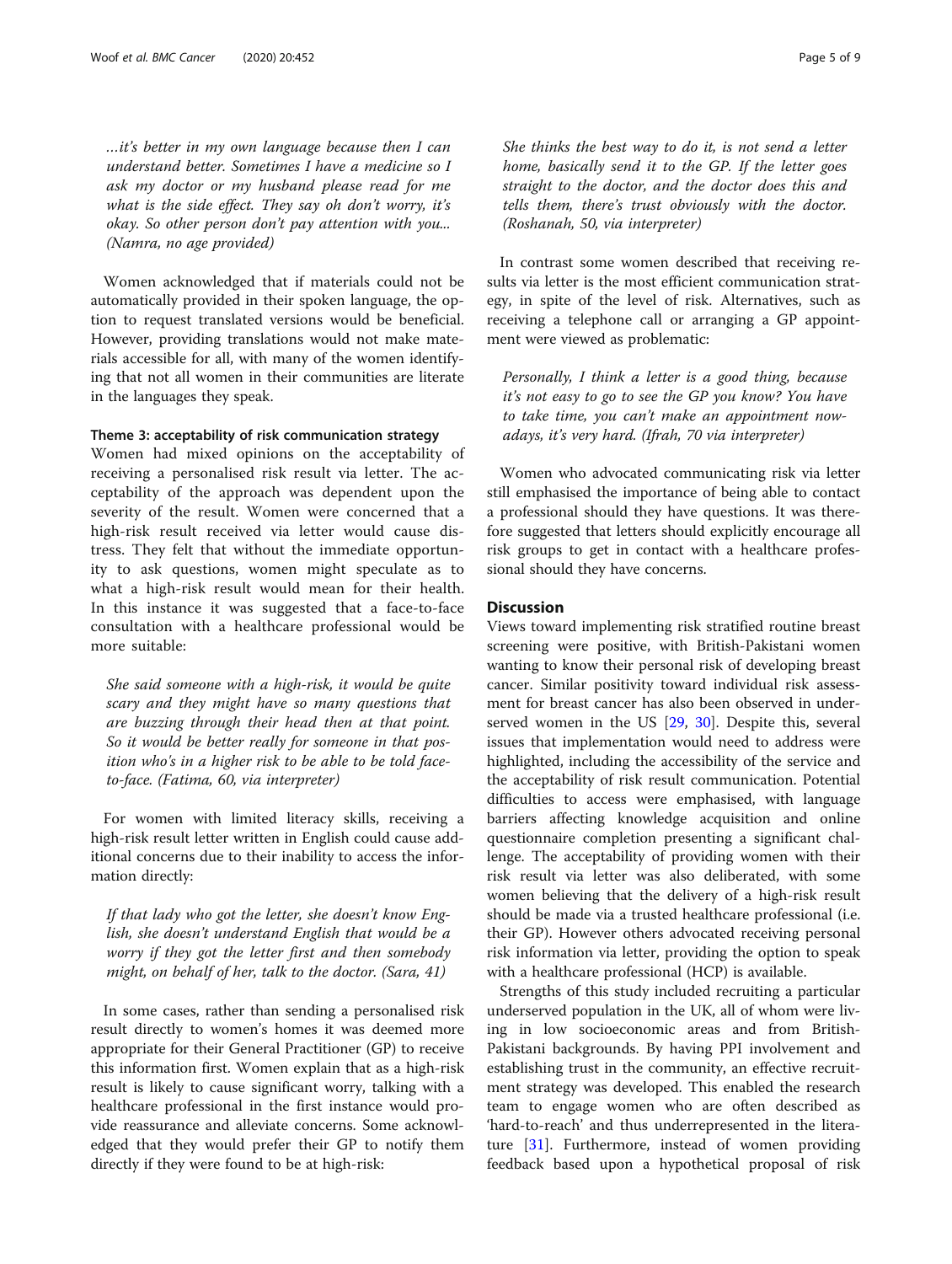…it's better in my own language because then I can understand better. Sometimes I have a medicine so I ask my doctor or my husband please read for me what is the side effect. They say oh don't worry, it's okay. So other person don't pay attention with you... (Namra, no age provided)

Women acknowledged that if materials could not be automatically provided in their spoken language, the option to request translated versions would be beneficial. However, providing translations would not make materials accessible for all, with many of the women identifying that not all women in their communities are literate in the languages they speak.

#### Theme 3: acceptability of risk communication strategy

Women had mixed opinions on the acceptability of receiving a personalised risk result via letter. The acceptability of the approach was dependent upon the severity of the result. Women were concerned that a high-risk result received via letter would cause distress. They felt that without the immediate opportunity to ask questions, women might speculate as to what a high-risk result would mean for their health. In this instance it was suggested that a face-to-face consultation with a healthcare professional would be more suitable:

She said someone with a high-risk, it would be quite scary and they might have so many questions that are buzzing through their head then at that point. So it would be better really for someone in that position who's in a higher risk to be able to be told faceto-face. (Fatima, 60, via interpreter)

For women with limited literacy skills, receiving a high-risk result letter written in English could cause additional concerns due to their inability to access the information directly:

If that lady who got the letter, she doesn't know English, she doesn't understand English that would be a worry if they got the letter first and then somebody might, on behalf of her, talk to the doctor. (Sara, 41)

In some cases, rather than sending a personalised risk result directly to women's homes it was deemed more appropriate for their General Practitioner (GP) to receive this information first. Women explain that as a high-risk result is likely to cause significant worry, talking with a healthcare professional in the first instance would provide reassurance and alleviate concerns. Some acknowledged that they would prefer their GP to notify them directly if they were found to be at high-risk:

She thinks the best way to do it, is not send a letter home, basically send it to the GP. If the letter goes straight to the doctor, and the doctor does this and tells them, there's trust obviously with the doctor. (Roshanah, 50, via interpreter)

In contrast some women described that receiving results via letter is the most efficient communication strategy, in spite of the level of risk. Alternatives, such as receiving a telephone call or arranging a GP appointment were viewed as problematic:

Personally, I think a letter is a good thing, because it's not easy to go to see the GP you know? You have to take time, you can't make an appointment nowadays, it's very hard. (Ifrah, 70 via interpreter)

Women who advocated communicating risk via letter still emphasised the importance of being able to contact a professional should they have questions. It was therefore suggested that letters should explicitly encourage all risk groups to get in contact with a healthcare professional should they have concerns.

#### **Discussion**

Views toward implementing risk stratified routine breast screening were positive, with British-Pakistani women wanting to know their personal risk of developing breast cancer. Similar positivity toward individual risk assessment for breast cancer has also been observed in underserved women in the US [[29](#page-8-0), [30\]](#page-8-0). Despite this, several issues that implementation would need to address were highlighted, including the accessibility of the service and the acceptability of risk result communication. Potential difficulties to access were emphasised, with language barriers affecting knowledge acquisition and online questionnaire completion presenting a significant challenge. The acceptability of providing women with their risk result via letter was also deliberated, with some women believing that the delivery of a high-risk result should be made via a trusted healthcare professional (i.e. their GP). However others advocated receiving personal risk information via letter, providing the option to speak with a healthcare professional (HCP) is available.

Strengths of this study included recruiting a particular underserved population in the UK, all of whom were living in low socioeconomic areas and from British-Pakistani backgrounds. By having PPI involvement and establishing trust in the community, an effective recruitment strategy was developed. This enabled the research team to engage women who are often described as 'hard-to-reach' and thus underrepresented in the literature [[31\]](#page-8-0). Furthermore, instead of women providing feedback based upon a hypothetical proposal of risk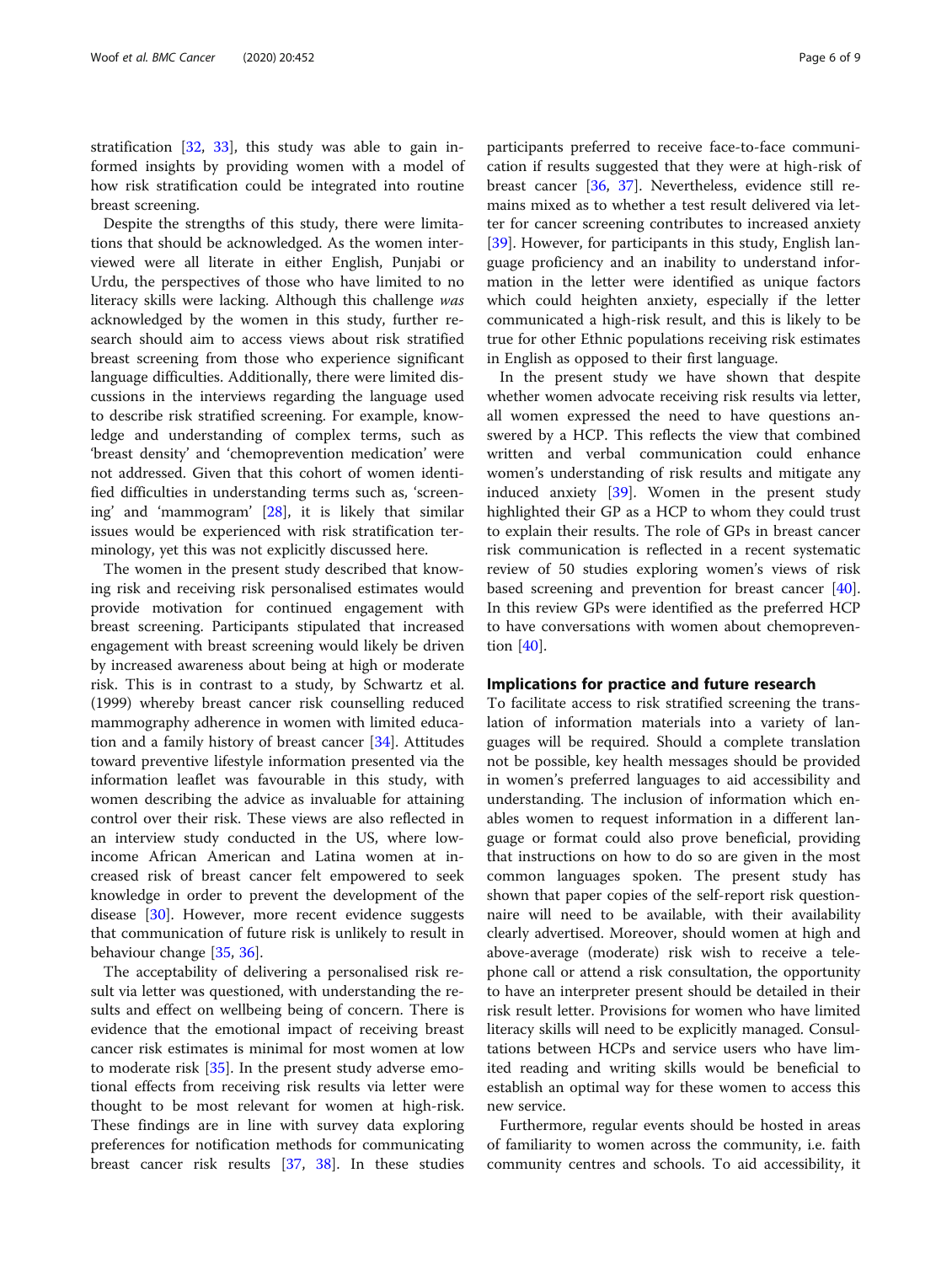stratification [\[32](#page-8-0), [33](#page-8-0)], this study was able to gain informed insights by providing women with a model of how risk stratification could be integrated into routine breast screening.

Despite the strengths of this study, there were limitations that should be acknowledged. As the women interviewed were all literate in either English, Punjabi or Urdu, the perspectives of those who have limited to no literacy skills were lacking. Although this challenge was acknowledged by the women in this study, further research should aim to access views about risk stratified breast screening from those who experience significant language difficulties. Additionally, there were limited discussions in the interviews regarding the language used to describe risk stratified screening. For example, knowledge and understanding of complex terms, such as 'breast density' and 'chemoprevention medication' were not addressed. Given that this cohort of women identified difficulties in understanding terms such as, 'screening' and 'mammogram' [\[28\]](#page-8-0), it is likely that similar issues would be experienced with risk stratification terminology, yet this was not explicitly discussed here.

The women in the present study described that knowing risk and receiving risk personalised estimates would provide motivation for continued engagement with breast screening. Participants stipulated that increased engagement with breast screening would likely be driven by increased awareness about being at high or moderate risk. This is in contrast to a study, by Schwartz et al. (1999) whereby breast cancer risk counselling reduced mammography adherence in women with limited education and a family history of breast cancer [\[34](#page-8-0)]. Attitudes toward preventive lifestyle information presented via the information leaflet was favourable in this study, with women describing the advice as invaluable for attaining control over their risk. These views are also reflected in an interview study conducted in the US, where lowincome African American and Latina women at increased risk of breast cancer felt empowered to seek knowledge in order to prevent the development of the disease [[30\]](#page-8-0). However, more recent evidence suggests that communication of future risk is unlikely to result in behaviour change [[35,](#page-8-0) [36](#page-8-0)].

The acceptability of delivering a personalised risk result via letter was questioned, with understanding the results and effect on wellbeing being of concern. There is evidence that the emotional impact of receiving breast cancer risk estimates is minimal for most women at low to moderate risk [\[35\]](#page-8-0). In the present study adverse emotional effects from receiving risk results via letter were thought to be most relevant for women at high-risk. These findings are in line with survey data exploring preferences for notification methods for communicating breast cancer risk results [\[37,](#page-8-0) [38](#page-8-0)]. In these studies participants preferred to receive face-to-face communication if results suggested that they were at high-risk of breast cancer [[36](#page-8-0), [37\]](#page-8-0). Nevertheless, evidence still remains mixed as to whether a test result delivered via letter for cancer screening contributes to increased anxiety [[39\]](#page-8-0). However, for participants in this study, English language proficiency and an inability to understand information in the letter were identified as unique factors which could heighten anxiety, especially if the letter communicated a high-risk result, and this is likely to be true for other Ethnic populations receiving risk estimates in English as opposed to their first language.

In the present study we have shown that despite whether women advocate receiving risk results via letter, all women expressed the need to have questions answered by a HCP. This reflects the view that combined written and verbal communication could enhance women's understanding of risk results and mitigate any induced anxiety [\[39](#page-8-0)]. Women in the present study highlighted their GP as a HCP to whom they could trust to explain their results. The role of GPs in breast cancer risk communication is reflected in a recent systematic review of 50 studies exploring women's views of risk based screening and prevention for breast cancer [\[40](#page-8-0)]. In this review GPs were identified as the preferred HCP to have conversations with women about chemoprevention [\[40\]](#page-8-0).

#### Implications for practice and future research

To facilitate access to risk stratified screening the translation of information materials into a variety of languages will be required. Should a complete translation not be possible, key health messages should be provided in women's preferred languages to aid accessibility and understanding. The inclusion of information which enables women to request information in a different language or format could also prove beneficial, providing that instructions on how to do so are given in the most common languages spoken. The present study has shown that paper copies of the self-report risk questionnaire will need to be available, with their availability clearly advertised. Moreover, should women at high and above-average (moderate) risk wish to receive a telephone call or attend a risk consultation, the opportunity to have an interpreter present should be detailed in their risk result letter. Provisions for women who have limited literacy skills will need to be explicitly managed. Consultations between HCPs and service users who have limited reading and writing skills would be beneficial to establish an optimal way for these women to access this new service.

Furthermore, regular events should be hosted in areas of familiarity to women across the community, i.e. faith community centres and schools. To aid accessibility, it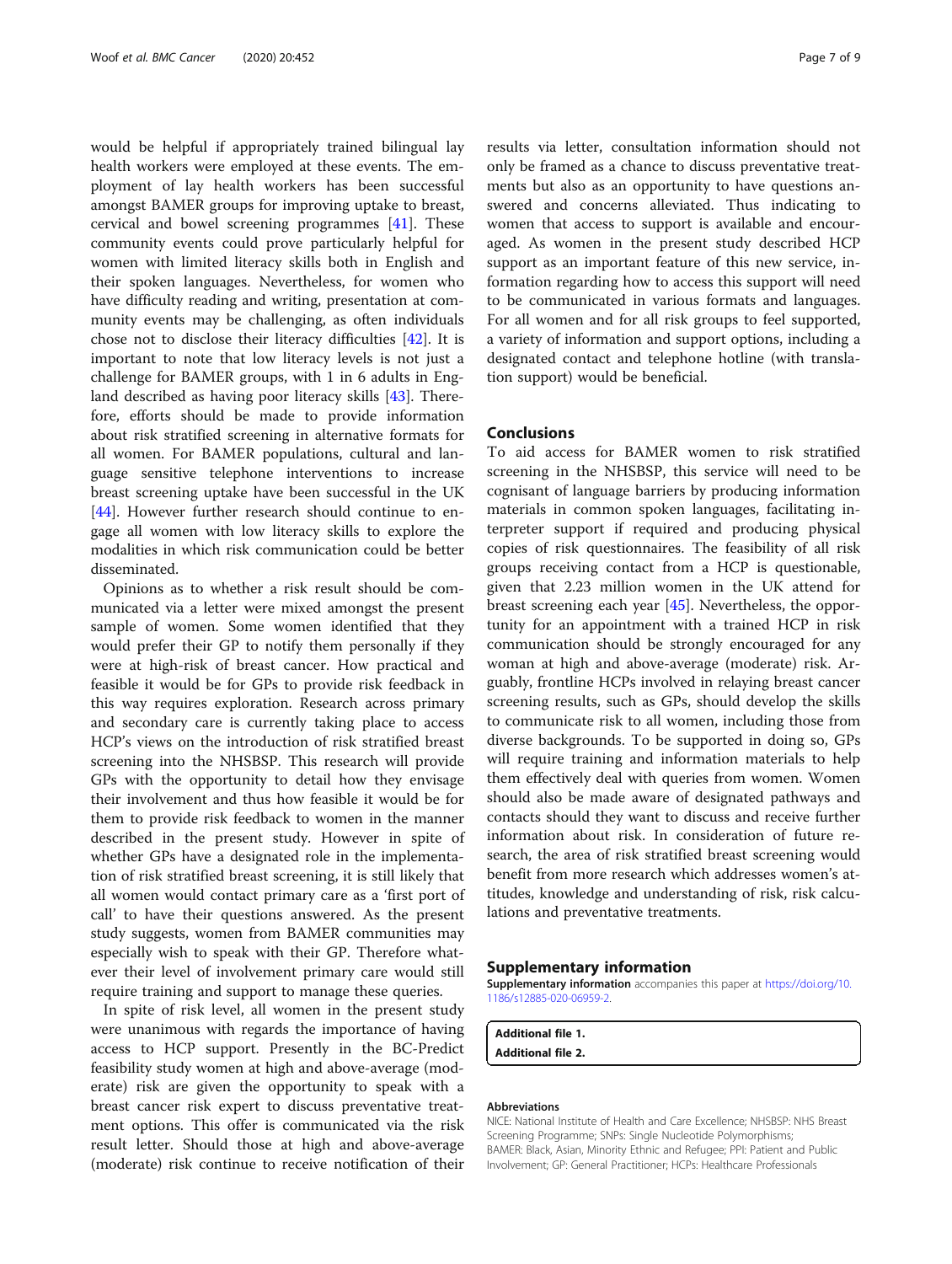would be helpful if appropriately trained bilingual lay health workers were employed at these events. The employment of lay health workers has been successful amongst BAMER groups for improving uptake to breast, cervical and bowel screening programmes [[41\]](#page-8-0). These community events could prove particularly helpful for women with limited literacy skills both in English and their spoken languages. Nevertheless, for women who have difficulty reading and writing, presentation at community events may be challenging, as often individuals chose not to disclose their literacy difficulties [[42\]](#page-8-0). It is important to note that low literacy levels is not just a challenge for BAMER groups, with 1 in 6 adults in England described as having poor literacy skills [\[43\]](#page-8-0). Therefore, efforts should be made to provide information about risk stratified screening in alternative formats for all women. For BAMER populations, cultural and language sensitive telephone interventions to increase breast screening uptake have been successful in the UK [[44\]](#page-8-0). However further research should continue to engage all women with low literacy skills to explore the modalities in which risk communication could be better disseminated.

Opinions as to whether a risk result should be communicated via a letter were mixed amongst the present sample of women. Some women identified that they would prefer their GP to notify them personally if they were at high-risk of breast cancer. How practical and feasible it would be for GPs to provide risk feedback in this way requires exploration. Research across primary and secondary care is currently taking place to access HCP's views on the introduction of risk stratified breast screening into the NHSBSP. This research will provide GPs with the opportunity to detail how they envisage their involvement and thus how feasible it would be for them to provide risk feedback to women in the manner described in the present study. However in spite of whether GPs have a designated role in the implementation of risk stratified breast screening, it is still likely that all women would contact primary care as a 'first port of call' to have their questions answered. As the present study suggests, women from BAMER communities may especially wish to speak with their GP. Therefore whatever their level of involvement primary care would still require training and support to manage these queries.

In spite of risk level, all women in the present study were unanimous with regards the importance of having access to HCP support. Presently in the BC-Predict feasibility study women at high and above-average (moderate) risk are given the opportunity to speak with a breast cancer risk expert to discuss preventative treatment options. This offer is communicated via the risk result letter. Should those at high and above-average (moderate) risk continue to receive notification of their

results via letter, consultation information should not only be framed as a chance to discuss preventative treatments but also as an opportunity to have questions answered and concerns alleviated. Thus indicating to women that access to support is available and encouraged. As women in the present study described HCP support as an important feature of this new service, information regarding how to access this support will need to be communicated in various formats and languages. For all women and for all risk groups to feel supported, a variety of information and support options, including a designated contact and telephone hotline (with translation support) would be beneficial.

#### Conclusions

To aid access for BAMER women to risk stratified screening in the NHSBSP, this service will need to be cognisant of language barriers by producing information materials in common spoken languages, facilitating interpreter support if required and producing physical copies of risk questionnaires. The feasibility of all risk groups receiving contact from a HCP is questionable, given that 2.23 million women in the UK attend for breast screening each year [\[45\]](#page-8-0). Nevertheless, the opportunity for an appointment with a trained HCP in risk communication should be strongly encouraged for any woman at high and above-average (moderate) risk. Arguably, frontline HCPs involved in relaying breast cancer screening results, such as GPs, should develop the skills to communicate risk to all women, including those from diverse backgrounds. To be supported in doing so, GPs will require training and information materials to help them effectively deal with queries from women. Women should also be made aware of designated pathways and contacts should they want to discuss and receive further information about risk. In consideration of future research, the area of risk stratified breast screening would benefit from more research which addresses women's attitudes, knowledge and understanding of risk, risk calculations and preventative treatments.

#### Supplementary information

Supplementary information accompanies this paper at [https://doi.org/10.](https://doi.org/10.1186/s12885-020-06959-2) [1186/s12885-020-06959-2](https://doi.org/10.1186/s12885-020-06959-2).

Additional file 1. Additional file 2.

#### Abbreviations

NICE: National Institute of Health and Care Excellence; NHSBSP: NHS Breast Screening Programme; SNPs: Single Nucleotide Polymorphisms; BAMER: Black, Asian, Minority Ethnic and Refugee; PPI: Patient and Public Involvement; GP: General Practitioner; HCPs: Healthcare Professionals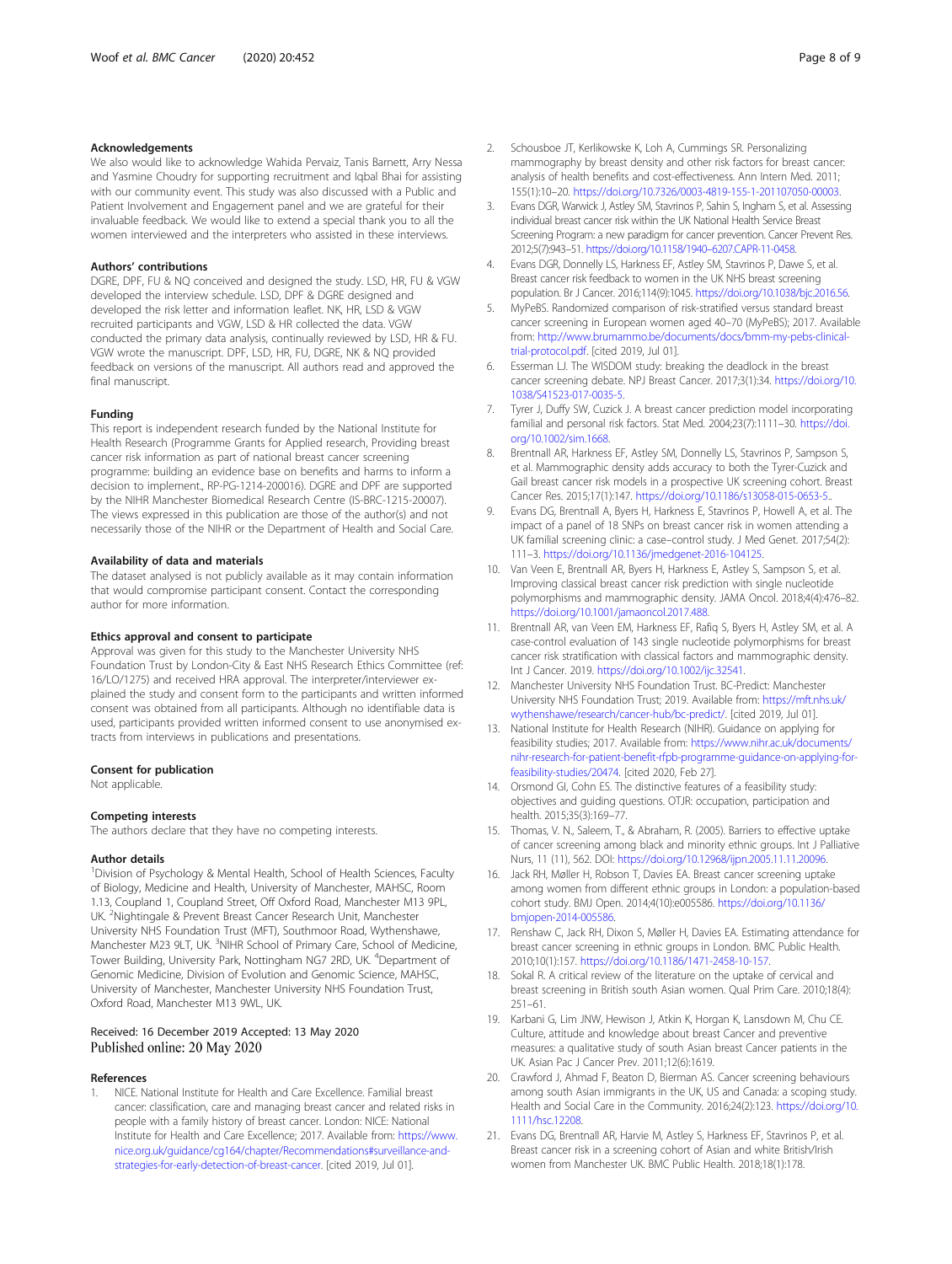#### <span id="page-7-0"></span>Acknowledgements

We also would like to acknowledge Wahida Pervaiz, Tanis Barnett, Arry Nessa and Yasmine Choudry for supporting recruitment and Iqbal Bhai for assisting with our community event. This study was also discussed with a Public and Patient Involvement and Engagement panel and we are grateful for their invaluable feedback. We would like to extend a special thank you to all the women interviewed and the interpreters who assisted in these interviews.

#### Authors' contributions

DGRE, DPF, FU & NQ conceived and designed the study. LSD, HR, FU & VGW developed the interview schedule. LSD, DPF & DGRE designed and developed the risk letter and information leaflet. NK, HR, LSD & VGW recruited participants and VGW, LSD & HR collected the data. VGW conducted the primary data analysis, continually reviewed by LSD, HR & FU. VGW wrote the manuscript. DPF, LSD, HR, FU, DGRE, NK & NQ provided feedback on versions of the manuscript. All authors read and approved the final manuscript.

#### Funding

This report is independent research funded by the National Institute for Health Research (Programme Grants for Applied research, Providing breast cancer risk information as part of national breast cancer screening programme: building an evidence base on benefits and harms to inform a decision to implement., RP-PG-1214-200016). DGRE and DPF are supported by the NIHR Manchester Biomedical Research Centre (IS-BRC-1215-20007). The views expressed in this publication are those of the author(s) and not necessarily those of the NIHR or the Department of Health and Social Care.

#### Availability of data and materials

The dataset analysed is not publicly available as it may contain information that would compromise participant consent. Contact the corresponding author for more information.

#### Ethics approval and consent to participate

Approval was given for this study to the Manchester University NHS Foundation Trust by London-City & East NHS Research Ethics Committee (ref: 16/LO/1275) and received HRA approval. The interpreter/interviewer explained the study and consent form to the participants and written informed consent was obtained from all participants. Although no identifiable data is used, participants provided written informed consent to use anonymised extracts from interviews in publications and presentations.

#### Consent for publication

Not applicable.

#### Competing interests

The authors declare that they have no competing interests.

#### Author details

<sup>1</sup> Division of Psychology & Mental Health, School of Health Sciences, Faculty of Biology, Medicine and Health, University of Manchester, MAHSC, Room 1.13, Coupland 1, Coupland Street, Off Oxford Road, Manchester M13 9PL, UK. <sup>2</sup>Nightingale & Prevent Breast Cancer Research Unit, Manchester University NHS Foundation Trust (MFT), Southmoor Road, Wythenshawe, Manchester M23 9LT, UK. <sup>3</sup>NIHR School of Primary Care, School of Medicine, Tower Building, University Park, Nottingham NG7 2RD, UK. <sup>4</sup>Department of Genomic Medicine, Division of Evolution and Genomic Science, MAHSC, University of Manchester, Manchester University NHS Foundation Trust, Oxford Road, Manchester M13 9WL, UK.

#### Received: 16 December 2019 Accepted: 13 May 2020 Published online: 20 May 2020

#### References

1. NICE. National Institute for Health and Care Excellence. Familial breast cancer: classification, care and managing breast cancer and related risks in people with a family history of breast cancer. London: NICE: National Institute for Health and Care Excellence; 2017. Available from: [https://www.](https://www.nice.org.uk/guidance/cg164/chapter/Recommendations#surveillance-and-strategies-for-early-detection-of-breast-cancer) [nice.org.uk/guidance/cg164/chapter/Recommendations#surveillance-and](https://www.nice.org.uk/guidance/cg164/chapter/Recommendations#surveillance-and-strategies-for-early-detection-of-breast-cancer)[strategies-for-early-detection-of-breast-cancer.](https://www.nice.org.uk/guidance/cg164/chapter/Recommendations#surveillance-and-strategies-for-early-detection-of-breast-cancer) [cited 2019, Jul 01].

- 2. Schousboe JT, Kerlikowske K, Loh A, Cummings SR. Personalizing mammography by breast density and other risk factors for breast cancer: analysis of health benefits and cost-effectiveness. Ann Intern Med. 2011; 155(1):10–20. <https://doi.org/10.7326/0003-4819-155-1-201107050-00003>.
- 3. Evans DGR, Warwick J, Astley SM, Stavrinos P, Sahin S, Ingham S, et al. Assessing individual breast cancer risk within the UK National Health Service Breast Screening Program: a new paradigm for cancer prevention. Cancer Prevent Res. 2012;5(7):943–51. [https://doi.org/10.1158/1940](https://doi.org/10.1158/1940-6207.CAPR-11-0458)–6207.CAPR-11-0458.
- 4. Evans DGR, Donnelly LS, Harkness EF, Astley SM, Stavrinos P, Dawe S, et al. Breast cancer risk feedback to women in the UK NHS breast screening population. Br J Cancer. 2016;114(9):1045. [https://doi.org/10.1038/bjc.2016.56.](https://doi.org/10.1038/bjc.2016.56)
- 5. MyPeBS. Randomized comparison of risk-stratified versus standard breast cancer screening in European women aged 40–70 (MyPeBS); 2017. Available from: [http://www.brumammo.be/documents/docs/bmm-my-pebs-clinical](http://www.brumammo.be/documents/docs/bmm-my-pebs-clinical-trial-protocol.pdf)[trial-protocol.pdf.](http://www.brumammo.be/documents/docs/bmm-my-pebs-clinical-trial-protocol.pdf) [cited 2019, Jul 01].
- Esserman LJ. The WISDOM study: breaking the deadlock in the breast cancer screening debate. NPJ Breast Cancer. 2017;3(1):34. [https://doi.org/10.](https://doi.org/10.1038/S41523-017-0035-5) [1038/S41523-017-0035-5.](https://doi.org/10.1038/S41523-017-0035-5)
- 7. Tyrer J, Duffy SW, Cuzick J. A breast cancer prediction model incorporating familial and personal risk factors. Stat Med. 2004;23(7):1111–30. [https://doi.](https://doi.org/10.1002/sim.1668) [org/10.1002/sim.1668.](https://doi.org/10.1002/sim.1668)
- 8. Brentnall AR, Harkness EF, Astley SM, Donnelly LS, Stavrinos P, Sampson S, et al. Mammographic density adds accuracy to both the Tyrer-Cuzick and Gail breast cancer risk models in a prospective UK screening cohort. Breast Cancer Res. 2015;17(1):147. <https://doi.org/10.1186/s13058-015-0653-5>..
- 9. Evans DG, Brentnall A, Byers H, Harkness E, Stavrinos P, Howell A, et al. The impact of a panel of 18 SNPs on breast cancer risk in women attending a UK familial screening clinic: a case–control study. J Med Genet. 2017;54(2): 111–3. [https://doi.org/10.1136/jmedgenet-2016-104125.](https://doi.org/10.1136/jmedgenet-2016-104125)
- 10. Van Veen E, Brentnall AR, Byers H, Harkness E, Astley S, Sampson S, et al. Improving classical breast cancer risk prediction with single nucleotide polymorphisms and mammographic density. JAMA Oncol. 2018;4(4):476–82. [https://doi.org/10.1001/jamaoncol.2017.488.](https://doi.org/10.1001/jamaoncol.2017.488)
- 11. Brentnall AR, van Veen EM, Harkness EF, Rafiq S, Byers H, Astley SM, et al. A case-control evaluation of 143 single nucleotide polymorphisms for breast cancer risk stratification with classical factors and mammographic density. Int J Cancer. 2019. <https://doi.org/10.1002/ijc.32541>.
- 12. Manchester University NHS Foundation Trust. BC-Predict: Manchester University NHS Foundation Trust; 2019. Available from: [https://mft.nhs.uk/](https://mft.nhs.uk/wythenshawe/research/cancer-hub/bc-predict/) [wythenshawe/research/cancer-hub/bc-predict/.](https://mft.nhs.uk/wythenshawe/research/cancer-hub/bc-predict/) [cited 2019, Jul 01].
- 13. National Institute for Health Research (NIHR). Guidance on applying for feasibility studies; 2017. Available from: [https://www.nihr.ac.uk/documents/](https://www.nihr.ac.uk/documents/nihr-research-for-patient-benefit-rfpb-programme-guidance-on-applying-for-feasibility-studies/20474) [nihr-research-for-patient-benefit-rfpb-programme-guidance-on-applying-for](https://www.nihr.ac.uk/documents/nihr-research-for-patient-benefit-rfpb-programme-guidance-on-applying-for-feasibility-studies/20474)[feasibility-studies/20474](https://www.nihr.ac.uk/documents/nihr-research-for-patient-benefit-rfpb-programme-guidance-on-applying-for-feasibility-studies/20474). [cited 2020, Feb 27].
- 14. Orsmond GI, Cohn ES. The distinctive features of a feasibility study: objectives and guiding questions. OTJR: occupation, participation and health. 2015;35(3):169–77.
- 15. Thomas, V. N., Saleem, T., & Abraham, R. (2005). Barriers to effective uptake of cancer screening among black and minority ethnic groups. Int J Palliative Nurs, 11 (11), 562. DOI: [https://doi.org/10.12968/ijpn.2005.11.11.20096.](https://doi.org/10.12968/ijpn.2005.11.11.20096)
- 16. Jack RH, Møller H, Robson T, Davies EA. Breast cancer screening uptake among women from different ethnic groups in London: a population-based cohort study. BMJ Open. 2014;4(10):e005586. [https://doi.org/10.1136/](https://doi.org/10.1136/bmjopen-2014-005586) [bmjopen-2014-005586.](https://doi.org/10.1136/bmjopen-2014-005586)
- 17. Renshaw C, Jack RH, Dixon S, Møller H, Davies EA. Estimating attendance for breast cancer screening in ethnic groups in London. BMC Public Health. 2010;10(1):157. <https://doi.org/10.1186/1471-2458-10-157>.
- 18. Sokal R. A critical review of the literature on the uptake of cervical and breast screening in British south Asian women. Qual Prim Care. 2010;18(4): 251–61.
- 19. Karbani G, Lim JNW, Hewison J, Atkin K, Horgan K, Lansdown M, Chu CE. Culture, attitude and knowledge about breast Cancer and preventive measures: a qualitative study of south Asian breast Cancer patients in the UK. Asian Pac J Cancer Prev. 2011;12(6):1619.
- 20. Crawford J, Ahmad F, Beaton D, Bierman AS. Cancer screening behaviours among south Asian immigrants in the UK, US and Canada: a scoping study. Health and Social Care in the Community. 2016;24(2):123. [https://doi.org/10.](https://doi.org/10.1111/hsc.12208) [1111/hsc.12208.](https://doi.org/10.1111/hsc.12208)
- 21. Evans DG, Brentnall AR, Harvie M, Astley S, Harkness EF, Stavrinos P, et al. Breast cancer risk in a screening cohort of Asian and white British/Irish women from Manchester UK. BMC Public Health. 2018;18(1):178.